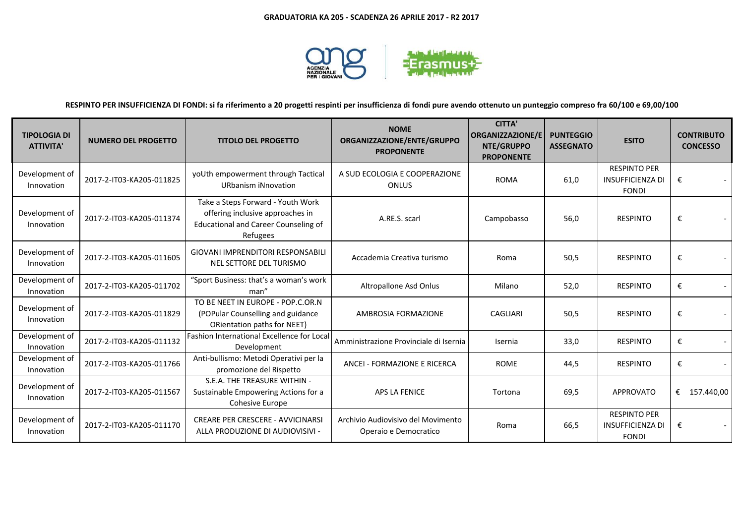

# **RESPINTO PER INSUFFICIENZA DI FONDI: si fa riferimento a 20 progetti respinti per insufficienza di fondi pure avendo ottenuto un punteggio compreso fra 60/100 e 69,00/100**

| <b>TIPOLOGIA DI</b><br><b>ATTIVITA'</b> | <b>NUMERO DEL PROGETTO</b> | <b>TITOLO DEL PROGETTO</b>                                                                                                       | <b>NOME</b><br>ORGANIZZAZIONE/ENTE/GRUPPO<br><b>PROPONENTE</b> | <b>CITTA'</b><br><b>ORGANIZZAZIONE/E</b><br>NTE/GRUPPO<br><b>PROPONENTE</b> | <b>PUNTEGGIO</b><br><b>ASSEGNATO</b> | <b>ESITO</b>                                                   | <b>CONTRIBUTO</b><br><b>CONCESSO</b> |
|-----------------------------------------|----------------------------|----------------------------------------------------------------------------------------------------------------------------------|----------------------------------------------------------------|-----------------------------------------------------------------------------|--------------------------------------|----------------------------------------------------------------|--------------------------------------|
| Development of<br>Innovation            | 2017-2-IT03-KA205-011825   | yoUth empowerment through Tactical<br><b>URbanism iNnovation</b>                                                                 | A SUD ECOLOGIA E COOPERAZIONE<br><b>ONLUS</b>                  | <b>ROMA</b>                                                                 | 61,0                                 | <b>RESPINTO PER</b><br><b>INSUFFICIENZA DI</b><br><b>FONDI</b> | €                                    |
| Development of<br>Innovation            | 2017-2-IT03-KA205-011374   | Take a Steps Forward - Youth Work<br>offering inclusive approaches in<br><b>Educational and Career Counseling of</b><br>Refugees | A.RE.S. scarl                                                  | Campobasso                                                                  | 56,0                                 | <b>RESPINTO</b>                                                | €                                    |
| Development of<br>Innovation            | 2017-2-IT03-KA205-011605   | <b>GIOVANI IMPRENDITORI RESPONSABILI</b><br>NEL SETTORE DEL TURISMO                                                              | Accademia Creativa turismo                                     | Roma                                                                        | 50,5                                 | <b>RESPINTO</b>                                                | €                                    |
| Development of<br>Innovation            | 2017-2-IT03-KA205-011702   | "Sport Business: that's a woman's work<br>man"                                                                                   | Altropallone Asd Onlus                                         | Milano                                                                      | 52,0                                 | <b>RESPINTO</b>                                                | €                                    |
| Development of<br>Innovation            | 2017-2-IT03-KA205-011829   | TO BE NEET IN EUROPE - POP.C.OR.N<br>(POPular Counselling and guidance<br>ORientation paths for NEET)                            | <b>AMBROSIA FORMAZIONE</b>                                     | CAGLIARI                                                                    | 50,5                                 | <b>RESPINTO</b>                                                | €                                    |
| Development of<br>Innovation            | 2017-2-IT03-KA205-011132   | <b>Fashion International Excellence for Local</b><br>Development                                                                 | Amministrazione Provinciale di Isernia                         | Isernia                                                                     | 33,0                                 | <b>RESPINTO</b>                                                | €                                    |
| Development of<br>Innovation            | 2017-2-IT03-KA205-011766   | Anti-bullismo: Metodi Operativi per la<br>promozione del Rispetto                                                                | ANCEI - FORMAZIONE E RICERCA                                   | <b>ROME</b>                                                                 | 44,5                                 | <b>RESPINTO</b>                                                | €                                    |
| Development of<br>Innovation            | 2017-2-IT03-KA205-011567   | S.E.A. THE TREASURE WITHIN -<br>Sustainable Empowering Actions for a<br>Cohesive Europe                                          | <b>APS LA FENICE</b>                                           | Tortona                                                                     | 69,5                                 | <b>APPROVATO</b>                                               | €<br>157.440,00                      |
| Development of<br>Innovation            | 2017-2-IT03-KA205-011170   | <b>CREARE PER CRESCERE - AVVICINARSI</b><br>ALLA PRODUZIONE DI AUDIOVISIVI -                                                     | Archivio Audiovisivo del Movimento<br>Operaio e Democratico    | Roma                                                                        | 66,5                                 | <b>RESPINTO PER</b><br><b>INSUFFICIENZA DI</b><br><b>FONDI</b> | €                                    |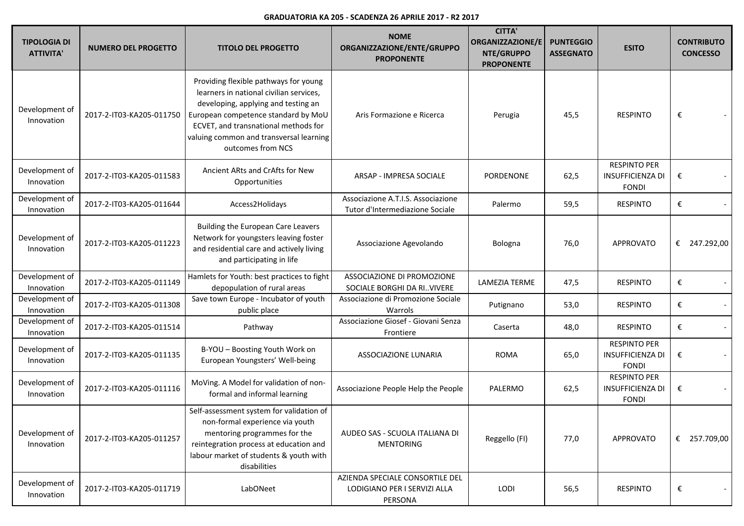| <b>TIPOLOGIA DI</b><br><b>ATTIVITA'</b> | <b>NUMERO DEL PROGETTO</b> | <b>TITOLO DEL PROGETTO</b>                                                                                                                                                                                                                                             | <b>NOME</b><br>ORGANIZZAZIONE/ENTE/GRUPPO<br><b>PROPONENTE</b>             | <b>CITTA'</b><br><b>ORGANIZZAZIONE/E</b><br>NTE/GRUPPO<br><b>PROPONENTE</b> | <b>PUNTEGGIO</b><br><b>ASSEGNATO</b> | <b>ESITO</b>                                                   | <b>CONTRIBUTO</b><br><b>CONCESSO</b> |
|-----------------------------------------|----------------------------|------------------------------------------------------------------------------------------------------------------------------------------------------------------------------------------------------------------------------------------------------------------------|----------------------------------------------------------------------------|-----------------------------------------------------------------------------|--------------------------------------|----------------------------------------------------------------|--------------------------------------|
| Development of<br>Innovation            | 2017-2-IT03-KA205-011750   | Providing flexible pathways for young<br>learners in national civilian services,<br>developing, applying and testing an<br>European competence standard by MoU<br>ECVET, and transnational methods for<br>valuing common and transversal learning<br>outcomes from NCS | Aris Formazione e Ricerca                                                  | Perugia                                                                     | 45,5                                 | <b>RESPINTO</b>                                                | €                                    |
| Development of<br>Innovation            | 2017-2-IT03-KA205-011583   | Ancient ARts and CrAfts for New<br>Opportunities                                                                                                                                                                                                                       | ARSAP - IMPRESA SOCIALE                                                    | PORDENONE                                                                   | 62,5                                 | <b>RESPINTO PER</b><br><b>INSUFFICIENZA DI</b><br><b>FONDI</b> | €                                    |
| Development of<br>Innovation            | 2017-2-IT03-KA205-011644   | Access2Holidays                                                                                                                                                                                                                                                        | Associazione A.T.I.S. Associazione<br>Tutor d'Intermediazione Sociale      | Palermo                                                                     | 59,5                                 | <b>RESPINTO</b>                                                | €                                    |
| Development of<br>Innovation            | 2017-2-IT03-KA205-011223   | Building the European Care Leavers<br>Network for youngsters leaving foster<br>and residential care and actively living<br>and participating in life                                                                                                                   | Associazione Agevolando                                                    | Bologna                                                                     | 76,0                                 | <b>APPROVATO</b>                                               | €<br>247.292,00                      |
| Development of<br>Innovation            | 2017-2-IT03-KA205-011149   | Hamlets for Youth: best practices to fight<br>depopulation of rural areas                                                                                                                                                                                              | ASSOCIAZIONE DI PROMOZIONE<br>SOCIALE BORGHI DA RI. VIVERE                 | <b>LAMEZIA TERME</b>                                                        | 47,5                                 | <b>RESPINTO</b>                                                | €                                    |
| Development of<br>Innovation            | 2017-2-IT03-KA205-011308   | Save town Europe - Incubator of youth<br>public place                                                                                                                                                                                                                  | Associazione di Promozione Sociale<br>Warrols                              | Putignano                                                                   | 53,0                                 | <b>RESPINTO</b>                                                | €                                    |
| Development of<br>Innovation            | 2017-2-IT03-KA205-011514   | Pathway                                                                                                                                                                                                                                                                | Associazione Giosef - Giovani Senza<br>Frontiere                           | Caserta                                                                     | 48,0                                 | <b>RESPINTO</b>                                                | €                                    |
| Development of<br>Innovation            | 2017-2-IT03-KA205-011135   | B-YOU - Boosting Youth Work on<br>European Youngsters' Well-being                                                                                                                                                                                                      | ASSOCIAZIONE LUNARIA                                                       | <b>ROMA</b>                                                                 | 65,0                                 | <b>RESPINTO PER</b><br><b>INSUFFICIENZA DI</b><br><b>FONDI</b> | €                                    |
| Development of<br>Innovation            | 2017-2-IT03-KA205-011116   | MoVing. A Model for validation of non-<br>formal and informal learning                                                                                                                                                                                                 | Associazione People Help the People                                        | PALERMO                                                                     | 62,5                                 | <b>RESPINTO PER</b><br><b>INSUFFICIENZA DI</b><br><b>FONDI</b> | €                                    |
| Development of<br>Innovation            | 2017-2-IT03-KA205-011257   | Self-assessment system for validation of<br>non-formal experience via youth<br>mentoring programmes for the<br>reintegration process at education and<br>labour market of students & youth with<br>disabilities                                                        | AUDEO SAS - SCUOLA ITALIANA DI<br><b>MENTORING</b>                         | Reggello (FI)                                                               | 77,0                                 | <b>APPROVATO</b>                                               | 257.709,00<br>€                      |
| Development of<br>Innovation            | 2017-2-IT03-KA205-011719   | LabONeet                                                                                                                                                                                                                                                               | AZIENDA SPECIALE CONSORTILE DEL<br>LODIGIANO PER I SERVIZI ALLA<br>PERSONA | LODI                                                                        | 56,5                                 | <b>RESPINTO</b>                                                | €                                    |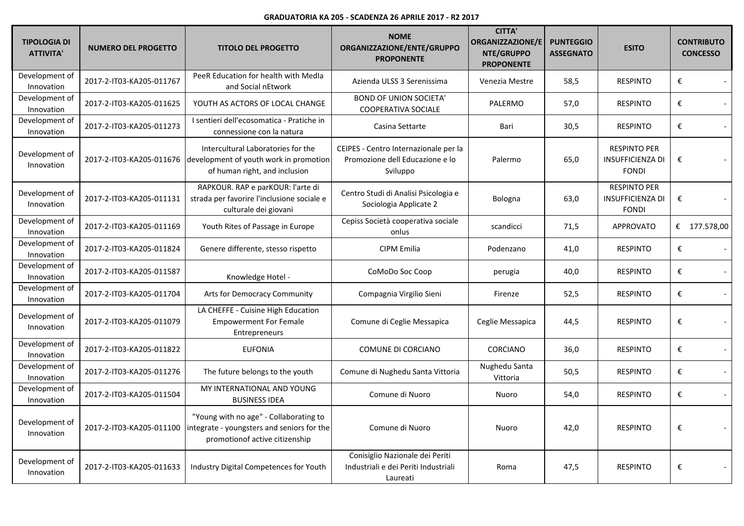| <b>TIPOLOGIA DI</b><br><b>ATTIVITA'</b> | <b>NUMERO DEL PROGETTO</b> | <b>TITOLO DEL PROGETTO</b>                                                                                                               | <b>NOME</b><br>ORGANIZZAZIONE/ENTE/GRUPPO<br><b>PROPONENTE</b>                       | <b>CITTA'</b><br><b>ORGANIZZAZIONE/E</b><br>NTE/GRUPPO<br><b>PROPONENTE</b> | <b>PUNTEGGIO</b><br><b>ASSEGNATO</b> | <b>ESITO</b>                                                   |   | <b>CONTRIBUTO</b><br><b>CONCESSO</b> |
|-----------------------------------------|----------------------------|------------------------------------------------------------------------------------------------------------------------------------------|--------------------------------------------------------------------------------------|-----------------------------------------------------------------------------|--------------------------------------|----------------------------------------------------------------|---|--------------------------------------|
| Development of<br>Innovation            | 2017-2-IT03-KA205-011767   | PeeR Education for health with MedIa<br>and Social nEtwork                                                                               | Azienda ULSS 3 Serenissima                                                           | Venezia Mestre                                                              | 58,5                                 | <b>RESPINTO</b>                                                | € |                                      |
| Development of<br>Innovation            | 2017-2-IT03-KA205-011625   | YOUTH AS ACTORS OF LOCAL CHANGE                                                                                                          | <b>BOND OF UNION SOCIETA'</b><br><b>COOPERATIVA SOCIALE</b>                          | PALERMO                                                                     | 57,0                                 | <b>RESPINTO</b>                                                | € |                                      |
| Development of<br>Innovation            | 2017-2-IT03-KA205-011273   | I sentieri dell'ecosomatica - Pratiche in<br>connessione con la natura                                                                   | Casina Settarte                                                                      | Bari                                                                        | 30,5                                 | <b>RESPINTO</b>                                                | € |                                      |
| Development of<br>Innovation            |                            | Intercultural Laboratories for the<br>2017-2-IT03-KA205-011676   development of youth work in promotion<br>of human right, and inclusion | CEIPES - Centro Internazionale per la<br>Promozione dell Educazione e lo<br>Sviluppo | Palermo                                                                     | 65,0                                 | <b>RESPINTO PER</b><br><b>INSUFFICIENZA DI</b><br><b>FONDI</b> | € |                                      |
| Development of<br>Innovation            | 2017-2-IT03-KA205-011131   | <b>AAPKOUR. RAP e parKOUR: l'arte di</b><br>strada per favorire l'inclusione sociale e<br>culturale dei giovani                          | Centro Studi di Analisi Psicologia e<br>Sociologia Applicate 2                       | Bologna                                                                     | 63,0                                 | <b>RESPINTO PER</b><br><b>INSUFFICIENZA DI</b><br><b>FONDI</b> | € |                                      |
| Development of<br>Innovation            | 2017-2-IT03-KA205-011169   | Youth Rites of Passage in Europe                                                                                                         | Cepiss Società cooperativa sociale<br>onlus                                          | scandicci                                                                   | 71,5                                 | <b>APPROVATO</b>                                               |   | € 177.578,00                         |
| Development of<br>Innovation            | 2017-2-IT03-KA205-011824   | Genere differente, stesso rispetto                                                                                                       | CIPM Emilia                                                                          | Podenzano                                                                   | 41,0                                 | <b>RESPINTO</b>                                                | € |                                      |
| Development of<br>Innovation            | 2017-2-IT03-KA205-011587   | Knowledge Hotel -                                                                                                                        | CoMoDo Soc Coop                                                                      | perugia                                                                     | 40,0                                 | <b>RESPINTO</b>                                                | € |                                      |
| Development of<br>Innovation            | 2017-2-IT03-KA205-011704   | Arts for Democracy Community                                                                                                             | Compagnia Virgilio Sieni                                                             | Firenze                                                                     | 52,5                                 | <b>RESPINTO</b>                                                | € |                                      |
| Development of<br>Innovation            | 2017-2-IT03-KA205-011079   | LA CHEFFE - Cuisine High Education<br><b>Empowerment For Female</b><br>Entrepreneurs                                                     | Comune di Ceglie Messapica                                                           | Ceglie Messapica                                                            | 44,5                                 | <b>RESPINTO</b>                                                | € |                                      |
| Development of<br>Innovation            | 2017-2-IT03-KA205-011822   | <b>EUFONIA</b>                                                                                                                           | COMUNE DI CORCIANO                                                                   | CORCIANO                                                                    | 36,0                                 | <b>RESPINTO</b>                                                | € |                                      |
| Development of<br>Innovation            | 2017-2-IT03-KA205-011276   | The future belongs to the youth                                                                                                          | Comune di Nughedu Santa Vittoria                                                     | Nughedu Santa<br>Vittoria                                                   | 50,5                                 | <b>RESPINTO</b>                                                | € |                                      |
| Development of<br>Innovation            | 2017-2-IT03-KA205-011504   | MY INTERNATIONAL AND YOUNG<br><b>BUSINESS IDEA</b>                                                                                       | Comune di Nuoro                                                                      | Nuoro                                                                       | 54,0                                 | <b>RESPINTO</b>                                                | € |                                      |
| Development of<br>Innovation            | 2017-2-IT03-KA205-011100   | "Young with no age" - Collaborating to<br>integrate - youngsters and seniors for the<br>promotionof active citizenship                   | Comune di Nuoro                                                                      | Nuoro                                                                       | 42,0                                 | <b>RESPINTO</b>                                                | € |                                      |
| Development of<br>Innovation            | 2017-2-IT03-KA205-011633   | <b>Industry Digital Competences for Youth</b>                                                                                            | Conisiglio Nazionale dei Periti<br>Industriali e dei Periti Industriali<br>Laureati  | Roma                                                                        | 47,5                                 | <b>RESPINTO</b>                                                | € |                                      |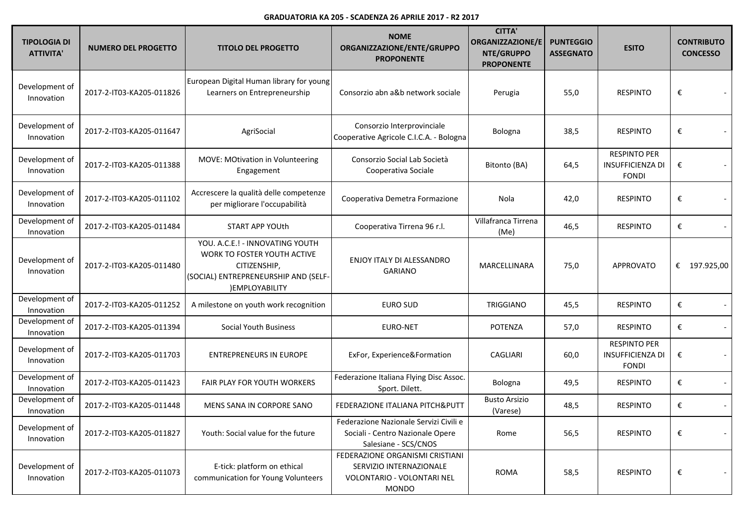| <b>TIPOLOGIA DI</b><br><b>ATTIVITA'</b> | <b>NUMERO DEL PROGETTO</b> | <b>TITOLO DEL PROGETTO</b>                                                                                                               | <b>NOME</b><br>ORGANIZZAZIONE/ENTE/GRUPPO<br><b>PROPONENTE</b>                                           | <b>CITTA'</b><br><b>ORGANIZZAZIONE/E</b><br>NTE/GRUPPO<br><b>PROPONENTE</b> | <b>PUNTEGGIO</b><br><b>ASSEGNATO</b> | <b>ESITO</b>                                                   |   | <b>CONTRIBUTO</b><br><b>CONCESSO</b> |
|-----------------------------------------|----------------------------|------------------------------------------------------------------------------------------------------------------------------------------|----------------------------------------------------------------------------------------------------------|-----------------------------------------------------------------------------|--------------------------------------|----------------------------------------------------------------|---|--------------------------------------|
| Development of<br>Innovation            | 2017-2-IT03-KA205-011826   | European Digital Human library for young<br>Learners on Entrepreneurship                                                                 | Consorzio abn a&b network sociale                                                                        | Perugia                                                                     | 55,0                                 | <b>RESPINTO</b>                                                | € |                                      |
| Development of<br>Innovation            | 2017-2-IT03-KA205-011647   | AgriSocial                                                                                                                               | Consorzio Interprovinciale<br>Cooperative Agricole C.I.C.A. - Bologna                                    | Bologna                                                                     | 38,5                                 | <b>RESPINTO</b>                                                | € |                                      |
| Development of<br>Innovation            | 2017-2-IT03-KA205-011388   | MOVE: MOtivation in Volunteering<br>Engagement                                                                                           | Consorzio Social Lab Società<br>Cooperativa Sociale                                                      | Bitonto (BA)                                                                | 64,5                                 | <b>RESPINTO PER</b><br><b>INSUFFICIENZA DI</b><br><b>FONDI</b> | € |                                      |
| Development of<br>Innovation            | 2017-2-IT03-KA205-011102   | Accrescere la qualità delle competenze<br>per migliorare l'occupabilità                                                                  | Cooperativa Demetra Formazione                                                                           | Nola                                                                        | 42,0                                 | <b>RESPINTO</b>                                                | € |                                      |
| Development of<br>Innovation            | 2017-2-IT03-KA205-011484   | START APP YOUth                                                                                                                          | Cooperativa Tirrena 96 r.l.                                                                              | Villafranca Tirrena<br>(Me)                                                 | 46,5                                 | <b>RESPINTO</b>                                                | € |                                      |
| Development of<br>Innovation            | 2017-2-IT03-KA205-011480   | YOU. A.C.E.! - INNOVATING YOUTH<br>WORK TO FOSTER YOUTH ACTIVE<br>CITIZENSHIP,<br>(SOCIAL) ENTREPRENEURSHIP AND (SELF-<br>)EMPLOYABILITY | ENJOY ITALY DI ALESSANDRO<br><b>GARIANO</b>                                                              | MARCELLINARA                                                                | 75,0                                 | <b>APPROVATO</b>                                               | € | 197.925,00                           |
| Development of<br>Innovation            | 2017-2-IT03-KA205-011252   | A milestone on youth work recognition                                                                                                    | <b>EURO SUD</b>                                                                                          | <b>TRIGGIANO</b>                                                            | 45,5                                 | <b>RESPINTO</b>                                                | € |                                      |
| Development of<br>Innovation            | 2017-2-IT03-KA205-011394   | <b>Social Youth Business</b>                                                                                                             | <b>EURO-NET</b>                                                                                          | <b>POTENZA</b>                                                              | 57,0                                 | <b>RESPINTO</b>                                                | € |                                      |
| Development of<br>Innovation            | 2017-2-IT03-KA205-011703   | <b>ENTREPRENEURS IN EUROPE</b>                                                                                                           | ExFor, Experience&Formation                                                                              | <b>CAGLIARI</b>                                                             | 60,0                                 | <b>RESPINTO PER</b><br><b>INSUFFICIENZA DI</b><br><b>FONDI</b> | € |                                      |
| Development of<br>Innovation            | 2017-2-IT03-KA205-011423   | FAIR PLAY FOR YOUTH WORKERS                                                                                                              | Federazione Italiana Flying Disc Assoc.<br>Sport. Dilett.                                                | Bologna                                                                     | 49,5                                 | <b>RESPINTO</b>                                                | € |                                      |
| Development of<br>Innovation            | 2017-2-IT03-KA205-011448   | MENS SANA IN CORPORE SANO                                                                                                                | FEDERAZIONE ITALIANA PITCH&PUTT                                                                          | <b>Busto Arsizio</b><br>(Varese)                                            | 48,5                                 | <b>RESPINTO</b>                                                | € |                                      |
| Development of<br>Innovation            | 2017-2-IT03-KA205-011827   | Youth: Social value for the future                                                                                                       | Federazione Nazionale Servizi Civili e<br>Sociali - Centro Nazionale Opere<br>Salesiane - SCS/CNOS       | Rome                                                                        | 56,5                                 | <b>RESPINTO</b>                                                | € |                                      |
| Development of<br>Innovation            | 2017-2-IT03-KA205-011073   | E-tick: platform on ethical<br>communication for Young Volunteers                                                                        | FEDERAZIONE ORGANISMI CRISTIANI<br>SERVIZIO INTERNAZIONALE<br>VOLONTARIO - VOLONTARI NEL<br><b>MONDO</b> | <b>ROMA</b>                                                                 | 58,5                                 | <b>RESPINTO</b>                                                | € |                                      |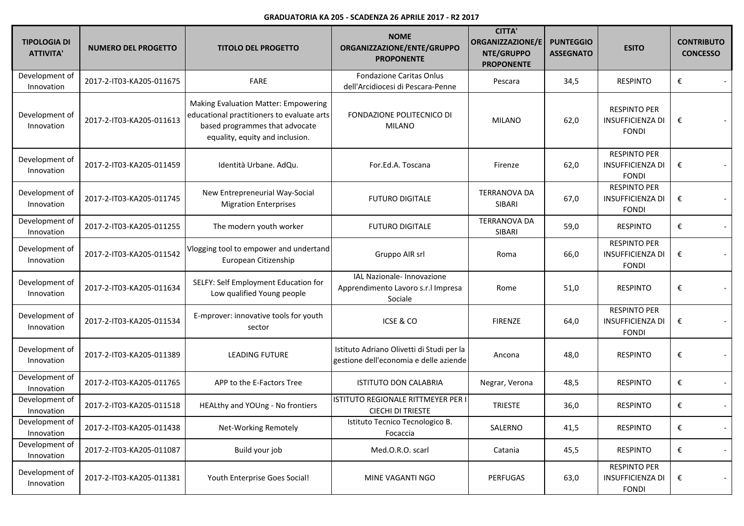| TIPOLOGIA DI<br><b>ATTIVITA'</b> | <b>NUMERO DEL PROGETTO</b> | <b>TITOLO DEL PROGETTO</b>                                                                                                                                     | <b>NOME</b><br>ORGANIZZAZIONE/ENTE/GRUPPO<br><b>PROPONENTE</b>                      | <b>CITTA'</b><br><b>ORGANIZZAZIONE/E</b><br>NTE/GRUPPO<br><b>PROPONENTE</b> | <b>PUNTEGGIO</b><br><b>ASSEGNATO</b> | <b>ESITO</b>                                                   | <b>CONTRIBUTO</b><br><b>CONCESSO</b> |
|----------------------------------|----------------------------|----------------------------------------------------------------------------------------------------------------------------------------------------------------|-------------------------------------------------------------------------------------|-----------------------------------------------------------------------------|--------------------------------------|----------------------------------------------------------------|--------------------------------------|
| Development of<br>Innovation     | 2017-2-IT03-KA205-011675   | FARE                                                                                                                                                           | <b>Fondazione Caritas Onlus</b><br>dell'Arcidiocesi di Pescara-Penne                | Pescara                                                                     | 34,5                                 | <b>RESPINTO</b>                                                | €                                    |
| Development of<br>Innovation     | 2017-2-IT03-KA205-011613   | <b>Making Evaluation Matter: Empowering</b><br>educational practitioners to evaluate arts<br>based programmes that advocate<br>equality, equity and inclusion. | FONDAZIONE POLITECNICO DI<br><b>MILANO</b>                                          | <b>MILANO</b>                                                               | 62,0                                 | <b>RESPINTO PER</b><br><b>INSUFFICIENZA DI</b><br><b>FONDI</b> | €                                    |
| Development of<br>Innovation     | 2017-2-IT03-KA205-011459   | Identità Urbane. AdQu.                                                                                                                                         | For.Ed.A. Toscana                                                                   | Firenze                                                                     | 62,0                                 | <b>RESPINTO PER</b><br><b>INSUFFICIENZA DI</b><br><b>FONDI</b> | €                                    |
| Development of<br>Innovation     | 2017-2-IT03-KA205-011745   | New Entrepreneurial Way-Social<br><b>Migration Enterprises</b>                                                                                                 | <b>FUTURO DIGITALE</b>                                                              | <b>TERRANOVA DA</b><br>SIBARI                                               | 67,0                                 | <b>RESPINTO PER</b><br><b>INSUFFICIENZA DI</b><br><b>FONDI</b> | €                                    |
| Development of<br>Innovation     | 2017-2-IT03-KA205-011255   | The modern youth worker                                                                                                                                        | <b>FUTURO DIGITALE</b>                                                              | <b>TERRANOVA DA</b><br>SIBARI                                               | 59,0                                 | <b>RESPINTO</b>                                                | €                                    |
| Development of<br>Innovation     | 2017-2-IT03-KA205-011542   | Vlogging tool to empower and undertand<br>European Citizenship                                                                                                 | Gruppo AIR srl                                                                      | Roma                                                                        | 66,0                                 | <b>RESPINTO PER</b><br><b>INSUFFICIENZA DI</b><br><b>FONDI</b> | €<br>$\overline{\phantom{a}}$        |
| Development of<br>Innovation     | 2017-2-IT03-KA205-011634   | SELFY: Self Employment Education for<br>Low qualified Young people                                                                                             | IAL Nazionale- Innovazione<br>Apprendimento Lavoro s.r.l Impresa<br>Sociale         | Rome                                                                        | 51,0                                 | <b>RESPINTO</b>                                                | €<br>$\overline{\phantom{a}}$        |
| Development of<br>Innovation     | 2017-2-IT03-KA205-011534   | E-mprover: innovative tools for youth<br>sector                                                                                                                | ICSE & CO                                                                           | <b>FIRENZE</b>                                                              | 64,0                                 | <b>RESPINTO PER</b><br><b>INSUFFICIENZA DI</b><br><b>FONDI</b> | €                                    |
| Development of<br>Innovation     | 2017-2-IT03-KA205-011389   | <b>LEADING FUTURE</b>                                                                                                                                          | Istituto Adriano Olivetti di Studi per la<br>gestione dell'economia e delle aziende | Ancona                                                                      | 48,0                                 | <b>RESPINTO</b>                                                | €                                    |
| Development of<br>Innovation     | 2017-2-IT03-KA205-011765   | APP to the E-Factors Tree                                                                                                                                      | <b>ISTITUTO DON CALABRIA</b>                                                        | Negrar, Verona                                                              | 48,5                                 | <b>RESPINTO</b>                                                | €<br>$\overline{\phantom{a}}$        |
| Development of<br>Innovation     | 2017-2-IT03-KA205-011518   | HEALthy and YOUng - No frontiers                                                                                                                               | ISTITUTO REGIONALE RITTMEYER PER I<br><b>CIECHI DI TRIESTE</b>                      | <b>TRIESTE</b>                                                              | 36,0                                 | <b>RESPINTO</b>                                                | €<br>$\overline{\phantom{a}}$        |
| Development of<br>Innovation     | 2017-2-IT03-KA205-011438   | Net-Working Remotely                                                                                                                                           | Istituto Tecnico Tecnologico B.<br>Focaccia                                         | SALERNO                                                                     | 41,5                                 | <b>RESPINTO</b>                                                | €<br>$\overline{\phantom{a}}$        |
| Development of<br>Innovation     | 2017-2-IT03-KA205-011087   | Build your job                                                                                                                                                 | Med.O.R.O. scarl                                                                    | Catania                                                                     | 45,5                                 | <b>RESPINTO</b>                                                | €<br>$\overline{\phantom{a}}$        |
| Development of<br>Innovation     | 2017-2-IT03-KA205-011381   | Youth Enterprise Goes Social!                                                                                                                                  | MINE VAGANTI NGO                                                                    | PERFUGAS                                                                    | 63,0                                 | <b>RESPINTO PER</b><br><b>INSUFFICIENZA DI</b><br><b>FONDI</b> | €<br>$\overline{\phantom{a}}$        |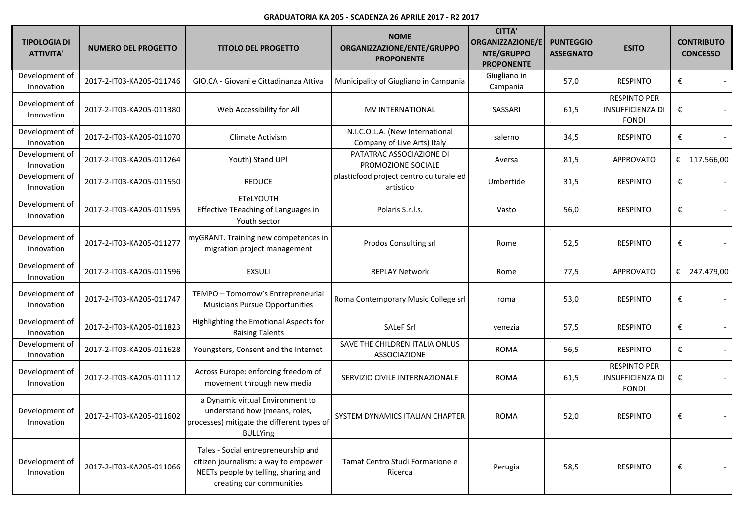| <b>TIPOLOGIA DI</b><br><b>ATTIVITA'</b> | <b>NUMERO DEL PROGETTO</b> | <b>TITOLO DEL PROGETTO</b>                                                                                                                      | <b>NOME</b><br>ORGANIZZAZIONE/ENTE/GRUPPO<br><b>PROPONENTE</b> | <b>CITTA'</b><br><b>ORGANIZZAZIONE/E</b><br>NTE/GRUPPO<br><b>PROPONENTE</b> | <b>PUNTEGGIO</b><br><b>ASSEGNATO</b> | <b>ESITO</b>                                                   | <b>CONTRIBUTO</b><br><b>CONCESSO</b> |            |
|-----------------------------------------|----------------------------|-------------------------------------------------------------------------------------------------------------------------------------------------|----------------------------------------------------------------|-----------------------------------------------------------------------------|--------------------------------------|----------------------------------------------------------------|--------------------------------------|------------|
| Development of<br>Innovation            | 2017-2-IT03-KA205-011746   | GIO.CA - Giovani e Cittadinanza Attiva                                                                                                          | Municipality of Giugliano in Campania                          | Giugliano in<br>Campania                                                    | 57,0                                 | <b>RESPINTO</b>                                                | €                                    |            |
| Development of<br>Innovation            | 2017-2-IT03-KA205-011380   | Web Accessibility for All                                                                                                                       | MV INTERNATIONAL                                               | SASSARI                                                                     | 61,5                                 | <b>RESPINTO PER</b><br><b>INSUFFICIENZA DI</b><br><b>FONDI</b> | €                                    |            |
| Development of<br>Innovation            | 2017-2-IT03-KA205-011070   | Climate Activism                                                                                                                                | N.I.C.O.L.A. (New International<br>Company of Live Arts) Italy | salerno                                                                     | 34,5                                 | <b>RESPINTO</b>                                                | €                                    |            |
| Development of<br>Innovation            | 2017-2-IT03-KA205-011264   | Youth) Stand UP!                                                                                                                                | PATATRAC ASSOCIAZIONE DI<br>PROMOZIONE SOCIALE                 | Aversa                                                                      | 81,5                                 | <b>APPROVATO</b>                                               | €                                    | 117.566,00 |
| Development of<br>Innovation            | 2017-2-IT03-KA205-011550   | <b>REDUCE</b>                                                                                                                                   | plasticfood project centro culturale ed<br>artistico           | Umbertide                                                                   | 31,5                                 | <b>RESPINTO</b>                                                | €                                    |            |
| Development of<br>Innovation            | 2017-2-IT03-KA205-011595   | <b>ETeLYOUTH</b><br>Effective TEeaching of Languages in<br>Youth sector                                                                         | Polaris S.r.l.s.                                               | Vasto                                                                       | 56,0                                 | <b>RESPINTO</b>                                                | €                                    |            |
| Development of<br>Innovation            | 2017-2-IT03-KA205-011277   | myGRANT. Training new competences in<br>migration project management                                                                            | Prodos Consulting srl                                          | Rome                                                                        | 52,5                                 | <b>RESPINTO</b>                                                | €                                    |            |
| Development of<br>Innovation            | 2017-2-IT03-KA205-011596   | <b>EXSULI</b>                                                                                                                                   | <b>REPLAY Network</b>                                          | Rome                                                                        | 77,5                                 | <b>APPROVATO</b>                                               | €                                    | 247.479,00 |
| Development of<br>Innovation            | 2017-2-IT03-KA205-011747   | TEMPO - Tomorrow's Entrepreneurial<br><b>Musicians Pursue Opportunities</b>                                                                     | Roma Contemporary Music College srl                            | roma                                                                        | 53,0                                 | <b>RESPINTO</b>                                                | €                                    |            |
| Development of<br>Innovation            | 2017-2-IT03-KA205-011823   | Highlighting the Emotional Aspects for<br><b>Raising Talents</b>                                                                                | <b>SALeF Srl</b>                                               | venezia                                                                     | 57,5                                 | <b>RESPINTO</b>                                                | €                                    |            |
| Development of<br>Innovation            | 2017-2-IT03-KA205-011628   | Youngsters, Consent and the Internet                                                                                                            | SAVE THE CHILDREN ITALIA ONLUS<br><b>ASSOCIAZIONE</b>          | <b>ROMA</b>                                                                 | 56,5                                 | <b>RESPINTO</b>                                                | €                                    |            |
| Development of<br>Innovation            | 2017-2-IT03-KA205-011112   | Across Europe: enforcing freedom of<br>movement through new media                                                                               | SERVIZIO CIVILE INTERNAZIONALE                                 | <b>ROMA</b>                                                                 | 61,5                                 | <b>RESPINTO PER</b><br><b>INSUFFICIENZA DI</b><br><b>FONDI</b> | €                                    |            |
| Development of<br>Innovation            | 2017-2-IT03-KA205-011602   | a Dynamic virtual Environment to<br>understand how (means, roles,<br>processes) mitigate the different types of<br><b>BULLYing</b>              | SYSTEM DYNAMICS ITALIAN CHAPTER                                | <b>ROMA</b>                                                                 | 52,0                                 | <b>RESPINTO</b>                                                | €                                    |            |
| Development of<br>Innovation            | 2017-2-IT03-KA205-011066   | Tales - Social entrepreneurship and<br>citizen journalism: a way to empower<br>NEETs people by telling, sharing and<br>creating our communities | Tamat Centro Studi Formazione e<br>Ricerca                     | Perugia                                                                     | 58,5                                 | <b>RESPINTO</b>                                                | €                                    |            |